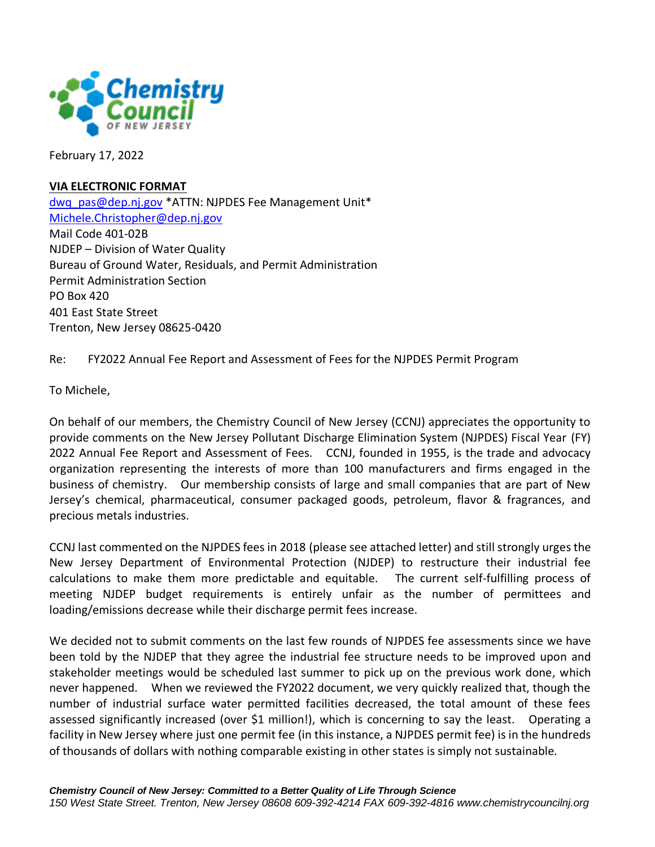

February 17, 2022

## **VIA ELECTRONIC FORMAT**

[dwq\\_pas@dep.nj.gov](mailto:dwq_pas@dep.nj.gov) \*ATTN: NJPDES Fee Management Unit\* [Michele.Christopher@dep.nj.gov](mailto:Michele.Christopher@dep.nj.gov) Mail Code 401-02B NJDEP – Division of Water Quality Bureau of Ground Water, Residuals, and Permit Administration Permit Administration Section PO Box 420 401 East State Street Trenton, New Jersey 08625-0420

Re: FY2022 Annual Fee Report and Assessment of Fees for the NJPDES Permit Program

To Michele,

On behalf of our members, the Chemistry Council of New Jersey (CCNJ) appreciates the opportunity to provide comments on the New Jersey Pollutant Discharge Elimination System (NJPDES) Fiscal Year (FY) 2022 Annual Fee Report and Assessment of Fees. CCNJ, founded in 1955, is the trade and advocacy organization representing the interests of more than 100 manufacturers and firms engaged in the business of chemistry. Our membership consists of large and small companies that are part of New Jersey's chemical, pharmaceutical, consumer packaged goods, petroleum, flavor & fragrances, and precious metals industries.

CCNJ last commented on the NJPDES fees in 2018 (please see attached letter) and still strongly urges the New Jersey Department of Environmental Protection (NJDEP) to restructure their industrial fee calculations to make them more predictable and equitable. The current self-fulfilling process of meeting NJDEP budget requirements is entirely unfair as the number of permittees and loading/emissions decrease while their discharge permit fees increase.

We decided not to submit comments on the last few rounds of NJPDES fee assessments since we have been told by the NJDEP that they agree the industrial fee structure needs to be improved upon and stakeholder meetings would be scheduled last summer to pick up on the previous work done, which never happened. When we reviewed the FY2022 document, we very quickly realized that, though the number of industrial surface water permitted facilities decreased, the total amount of these fees assessed significantly increased (over \$1 million!), which is concerning to say the least. Operating a facility in New Jersey where just one permit fee (in this instance, a NJPDES permit fee) is in the hundreds of thousands of dollars with nothing comparable existing in other states is simply not sustainable.